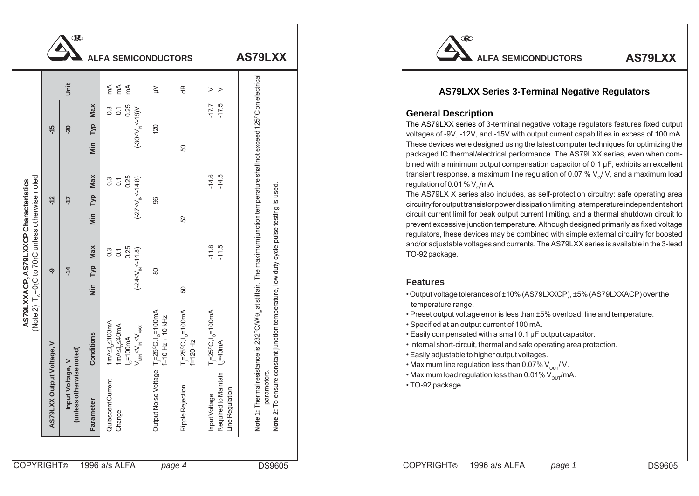|                                                  | jnit           |                   | 医是                                                                                                                                                                                      | $\geq$                                                          | $\oplus$                                                               | $>$ $>$                                                                           |                                                                                                                  | <b>AS79LXX Series 3-Terminal Negative Regulators</b>                                                                                                                                                                                                                                                                                                                                                                                                                                                                                                                                                                                                                            |  |  |  |
|--------------------------------------------------|----------------|-------------------|-----------------------------------------------------------------------------------------------------------------------------------------------------------------------------------------|-----------------------------------------------------------------|------------------------------------------------------------------------|-----------------------------------------------------------------------------------|------------------------------------------------------------------------------------------------------------------|---------------------------------------------------------------------------------------------------------------------------------------------------------------------------------------------------------------------------------------------------------------------------------------------------------------------------------------------------------------------------------------------------------------------------------------------------------------------------------------------------------------------------------------------------------------------------------------------------------------------------------------------------------------------------------|--|--|--|
| $-15$                                            | $\overline{5}$ | Max<br>Гур<br>Min | 0.3<br>0.1<br>0.25<br>0.20 $\leq$<br>0.25<br>0.3<br>0.25                                                                                                                                | $\overline{20}$                                                 | င္ဟ                                                                    | $-17.5$                                                                           |                                                                                                                  | <b>General Description</b><br>The AS79LXX series of 3-terminal negative voltage regulators features fixed outp<br>voltages of -9V, -12V, and -15V with output current capabilities in excess of 100 m<br>These devices were designed using the latest computer techniques for optimizing tl<br>packaged IC thermal/electrical performance. The AS79LXX series, even when cor                                                                                                                                                                                                                                                                                                    |  |  |  |
| 17                                               |                | Max<br>Тур<br>Min | $\frac{0.25}{\sqrt{N^2}}$<br>$\frac{3}{0}$ $\frac{1}{1}$<br>$(-275V)$                                                                                                                   | 88                                                              | ß,                                                                     | $-14.5$                                                                           | The maximum junction temperature shall not exceed 125°C on electrical                                            | bined with a minimum output compensation capacitor of $0.1 \mu F$ , exhibits an excelle<br>transient response, a maximum line regulation of 0.07 % $V_{0}$ / V, and a maximum load<br>regulation of 0.01 % $V_o$ /mA.<br>The AS79LX X series also includes, as self-protection circuitry: safe operating are<br>circuitry for output transistor power dissipation limiting, a temperature independent sho<br>circuit current limit for peak output current limiting, and a thermal shutdown circuit<br>prevent excessive junction temperature. Although designed primarily as fixed volta<br>regulators, these devices may be combined with simple external circuitry for boost |  |  |  |
| $-14$                                            |                | Max<br>Тур<br>Min | $0.1$<br>0.25<br>$(8)^{11.5}$<br>$0.\overline{3}$<br>$(-245)$                                                                                                                           | 80                                                              | යි                                                                     | $-11.5$                                                                           | aίr.                                                                                                             | and/or adjustable voltages and currents. The AS79LXX series is available in the 3-lea<br>TO-92 package.<br><b>Features</b>                                                                                                                                                                                                                                                                                                                                                                                                                                                                                                                                                      |  |  |  |
| Conditions<br>>                                  |                |                   | 1mA≤l <sub>o</sub> ≤100mA<br>$\begin{cases} \text{ImAS} \underset{M \in \mathbb{R}}{\leq} 40 \text{mA} \\ \text{I}_0 = 100 \text{mA} \\ V_{\text{min}} \leq V_{\text{max}} \end{cases}$ | T <sub>j</sub> =25°C, l <sub>o</sub> =100mA<br>f=10 Hz ÷ 10 kHz | $T_1 = 25^{\circ}C, 1_{\circ} = 100 \text{mA}$<br>$f = 120 \text{ Hz}$ | $T_1 = 25^{\circ}\text{C}, 1_{\circ} = 100\text{mA}$<br>$1_{\circ} = 40\text{mA}$ | ensure constant junction temperature, low duty cycle pulse testing is used<br>232°C/W $\theta_{\rm ia}$ at still | . Output voltage tolerances of ±10% (AS79LXXCP), ±5% (AS79LXXACP) over the<br>temperature range.<br>. Preset output voltage error is less than ±5% overload, line and temperature.<br>· Specified at an output current of 100 mA.<br>. Easily compensated with a small 0.1 µF output capacitor.<br>. Internal short-circuit, thermal and safe operating area protection.<br>• Easily adjustable to higher output voltages.<br>• Maximum line regulation less than 0.07% $V_{\text{out}}/V$ .                                                                                                                                                                                    |  |  |  |
| (unless otherwise noted)<br>Voltage,<br>put<br>드 |                | Parameter         | <b>1tCurrent</b><br>Quiescent<br>Change                                                                                                                                                 | oise Voltage<br>Output N                                        | jection<br>Ripple Rej                                                  | Input Voltage<br>Required to Maintain<br>Line Regulation                          | hermal resistance is<br>parameters<br>$\circ$<br>Note 1: T<br>Note 2:                                            | • Maximum load regulation less than 0.01% $V_{\text{out}}/mA$ .<br>· TO-92 package.                                                                                                                                                                                                                                                                                                                                                                                                                                                                                                                                                                                             |  |  |  |



## **AS79LXX Series 3-Terminal Negative Regulators**

## **General Description**

## **Features**